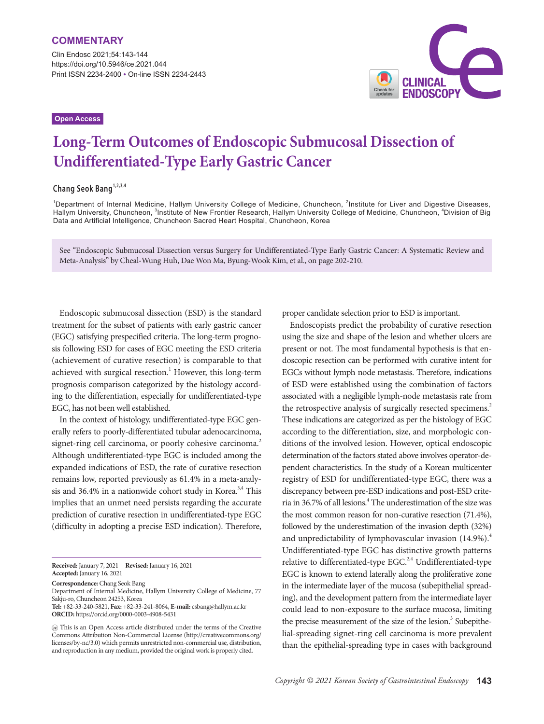Clin Endosc 2021;54:143-144 https://doi.org/10.5946/ce.2021.044 Print ISSN 2234-2400 • On-line ISSN 2234-2443

## **Open Access**



# **Long-Term Outcomes of Endoscopic Submucosal Dissection of Undifferentiated-Type Early Gastric Cancer**

## **Chang Seok Bang1,2,3,4**

<sup>1</sup>Department of Internal Medicine, Hallym University College of Medicine, Chuncheon, <sup>2</sup>Institute for Liver and Digestive Diseases, Hallym University, Chuncheon, <sup>3</sup>Institute of New Frontier Research, Hallym University College of Medicine, Chuncheon, <sup>4</sup>Division of Big Data and Artificial Intelligence, Chuncheon Sacred Heart Hospital, Chuncheon, Korea

See "Endoscopic Submucosal Dissection versus Surgery for Undifferentiated-Type Early Gastric Cancer: A Systematic Review and Meta-Analysis" by Cheal-Wung Huh, Dae Won Ma, Byung-Wook Kim, et al., on page 202-210.

Endoscopic submucosal dissection (ESD) is the standard treatment for the subset of patients with early gastric cancer (EGC) satisfying prespecified criteria. The long-term prognosis following ESD for cases of EGC meeting the ESD criteria (achievement of curative resection) is comparable to that achieved with surgical resection.<sup>1</sup> However, this long-term prognosis comparison categorized by the histology according to the differentiation, especially for undifferentiated-type EGC, has not been well established.

In the context of histology, undifferentiated-type EGC generally refers to poorly-differentiated tubular adenocarcinoma, signet-ring cell carcinoma, or poorly cohesive carcinoma.<sup>2</sup> Although undifferentiated-type EGC is included among the expanded indications of ESD, the rate of curative resection remains low, reported previously as 61.4% in a meta-analysis and  $36.4\%$  in a nationwide cohort study in Korea.<sup>3,4</sup> This implies that an unmet need persists regarding the accurate prediction of curative resection in undifferentiated-type EGC (difficulty in adopting a precise ESD indication). Therefore,

**Received:** January 7, 2021 **Revised:** January 16, 2021 **Accepted:** January 16, 2021

**Correspondence:** Chang Seok Bang

Department of Internal Medicine, Hallym University College of Medicine, 77 Sakju-ro, Chuncheon 24253, Korea

**Tel:** +82-33-240-5821, **Fax:** +82-33-241-8064, **E-mail:** csbang@hallym.ac.kr **ORCID:** https://orcid.org/0000-0003-4908-5431

proper candidate selection prior to ESD is important.

Endoscopists predict the probability of curative resection using the size and shape of the lesion and whether ulcers are present or not. The most fundamental hypothesis is that endoscopic resection can be performed with curative intent for EGCs without lymph node metastasis. Therefore, indications of ESD were established using the combination of factors associated with a negligible lymph-node metastasis rate from the retrospective analysis of surgically resected specimens.<sup>2</sup> These indications are categorized as per the histology of EGC according to the differentiation, size, and morphologic conditions of the involved lesion. However, optical endoscopic determination of the factors stated above involves operator-dependent characteristics. In the study of a Korean multicenter registry of ESD for undifferentiated-type EGC, there was a discrepancy between pre-ESD indications and post-ESD criteria in 36.7% of all lesions.<sup>4</sup> The underestimation of the size was the most common reason for non-curative resection (71.4%), followed by the underestimation of the invasion depth (32%) and unpredictability of lymphovascular invasion  $(14.9\%)$ .<sup>4</sup> Undifferentiated-type EGC has distinctive growth patterns relative to differentiated-type EGC.<sup>2,4</sup> Undifferentiated-type EGC is known to extend laterally along the proliferative zone in the intermediate layer of the mucosa (subepithelial spreading), and the development pattern from the intermediate layer could lead to non-exposure to the surface mucosa, limiting the precise measurement of the size of the lesion.<sup>3</sup> Subepithelial-spreading signet-ring cell carcinoma is more prevalent than the epithelial-spreading type in cases with background

This is an Open Access article distributed under the terms of the Creative Commons Attribution Non-Commercial License (http://creativecommons.org/ licenses/by-nc/3.0) which permits unrestricted non-commercial use, distribution, and reproduction in any medium, provided the original work is properly cited.